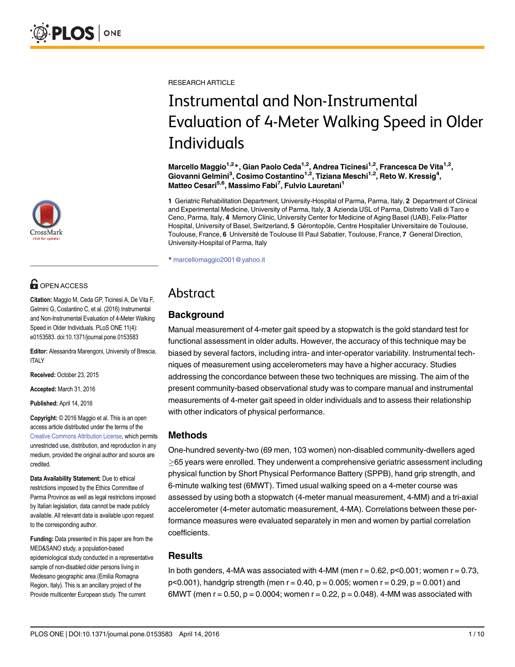

# **OPEN ACCESS**

Citation: Maggio M, Ceda GP, Ticinesi A, De Vita F, Gelmini G, Costantino C, et al. (2016) Instrumental and Non-Instrumental Evaluation of 4-Meter Walking Speed in Older Individuals. PLoS ONE 11(4): e0153583. doi:10.1371/journal.pone.0153583

Editor: Alessandra Marengoni, University of Brescia, ITALY

Received: October 23, 2015

Accepted: March 31, 2016

Published: April 14, 2016

Copyright: © 2016 Maggio et al. This is an open access article distributed under the terms of the [Creative Commons Attribution License,](http://creativecommons.org/licenses/by/4.0/) which permits unrestricted use, distribution, and reproduction in any medium, provided the original author and source are credited.

Data Availability Statement: Due to ethical restrictions imposed by the Ethics Committee of Parma Province as well as legal restrictions imposed by Italian legislation, data cannot be made publicly available. All relevant data is available upon request to the corresponding author.

Funding: Data presented in this paper are from the MED&SANO study, a population-based epidemiological study conducted in a representative sample of non-disabled older persons living in Medesano geographic area (Emilia Romagna Region, Italy). This is an ancillary project of the Provide multicenter European study. The current

RESEARCH ARTICLE

# Instrumental and Non-Instrumental Evaluation of 4-Meter Walking Speed in Older **Individuals**

Marcello Maggio<sup>1,2\*</sup>, Gian Paolo Ceda<sup>1,2</sup>, Andrea Ticinesi<sup>1,2</sup>, Francesca De Vita<sup>1,2</sup>, Giovanni Gelmini<sup>3</sup>, Cosimo Costantino<sup>1,2</sup>, Tiziana Meschi<sup>1,2</sup>, Reto W. Kressig<sup>4</sup>, Matteo Cesari<sup>5,6</sup>, Massimo Fabi<sup>7</sup>, Fulvio Lauretani<sup>1</sup>

1 Geriatric Rehabilitation Department, University-Hospital of Parma, Parma, Italy, 2 Department of Clinical and Experimental Medicine, University of Parma, Italy, 3 Azienda USL of Parma, Distretto Valli di Taro e Ceno, Parma, Italy, 4 Memory Clinic, University Center for Medicine of Aging Basel (UAB), Felix-Platter Hospital, University of Basel, Switzerland, 5 Gérontopôle, Centre Hospitalier Universitaire de Toulouse, Toulouse, France, 6 Université de Toulouse III Paul Sabatier, Toulouse, France, 7 General Direction, University-Hospital of Parma, Italy

\* marcellomaggio2001@yahoo.it

# Abstract

# **Background**

Manual measurement of 4-meter gait speed by a stopwatch is the gold standard test for functional assessment in older adults. However, the accuracy of this technique may be biased by several factors, including intra- and inter-operator variability. Instrumental techniques of measurement using accelerometers may have a higher accuracy. Studies addressing the concordance between these two techniques are missing. The aim of the present community-based observational study was to compare manual and instrumental measurements of 4-meter gait speed in older individuals and to assess their relationship with other indicators of physical performance.

# Methods

One-hundred seventy-two (69 men, 103 women) non-disabled community-dwellers aged  $\geq$ 65 years were enrolled. They underwent a comprehensive geriatric assessment including physical function by Short Physical Performance Battery (SPPB), hand grip strength, and 6-minute walking test (6MWT). Timed usual walking speed on a 4-meter course was assessed by using both a stopwatch (4-meter manual measurement, 4-MM) and a tri-axial accelerometer (4-meter automatic measurement, 4-MA). Correlations between these performance measures were evaluated separately in men and women by partial correlation coefficients.

# **Results**

In both genders, 4-MA was associated with 4-MM (men  $r = 0.62$ ,  $p < 0.001$ ; women  $r = 0.73$ ,  $p<0.001$ ), handgrip strength (men  $r = 0.40$ ,  $p = 0.005$ ; women  $r = 0.29$ ,  $p = 0.001$ ) and 6MWT (men  $r = 0.50$ ,  $p = 0.0004$ ; women  $r = 0.22$ ,  $p = 0.048$ ). 4-MM was associated with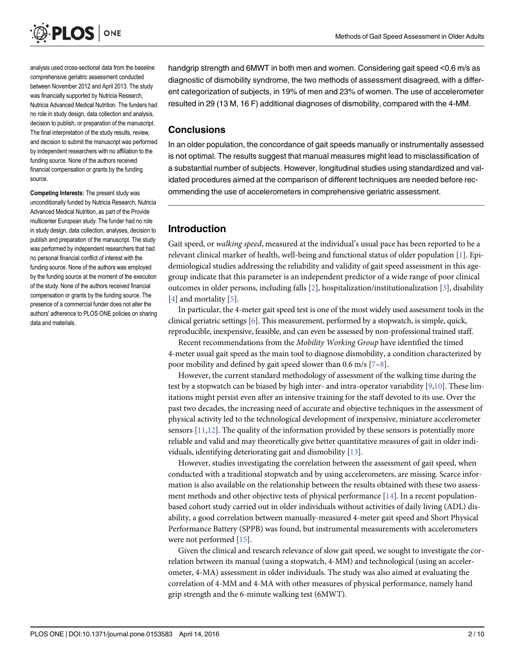<span id="page-1-0"></span>

analysis used cross-sectional data from the baseline comprehensive geriatric assessment conducted between November 2012 and April 2013. The study was financially supported by Nutricia Research, Nutricia Advanced Medical Nutrition. The funders had no role in study design, data collection and analysis decision to publish, or preparation of the manuscript. The final interpretation of the study results, review, and decision to submit the manuscript was performed by independent researchers with no affiliation to the funding source. None of the authors received financial compensation or grants by the funding source.

Competing Interests: The present study was unconditionally funded by Nutricia Research, Nutricia Advanced Medical Nutrition, as part of the Provide multicenter European study. The funder had no role in study design, data collection, analyses, decision to publish and preparation of the manuscript. The study was performed by independent researchers that had no personal financial conflict of interest with the funding source. None of the authors was employed by the funding source at the moment of the execution of the study. None of the authors received financial compensation or grants by the funding source. The presence of a commercial funder does not alter the authors' adherence to PLOS ONE policies on sharing data and materials.

handgrip strength and 6MWT in both men and women. Considering gait speed <0.6 m/s as diagnostic of dismobility syndrome, the two methods of assessment disagreed, with a different categorization of subjects, in 19% of men and 23% of women. The use of accelerometer resulted in 29 (13 M, 16 F) additional diagnoses of dismobility, compared with the 4-MM.

#### **Conclusions**

In an older population, the concordance of gait speeds manually or instrumentally assessed is not optimal. The results suggest that manual measures might lead to misclassification of a substantial number of subjects. However, longitudinal studies using standardized and validated procedures aimed at the comparison of different techniques are needed before recommending the use of accelerometers in comprehensive geriatric assessment.

# Introduction

Gait speed, or walking speed, measured at the individual's usual pace has been reported to be a relevant clinical marker of health, well-being and functional status of older population [[1\]](#page-8-0). Epidemiological studies addressing the reliability and validity of gait speed assessment in this agegroup indicate that this parameter is an independent predictor of a wide range of poor clinical outcomes in older persons, including falls  $[2]$  $[2]$ , hospitalization/institutionalization  $[3]$  $[3]$ , disability [\[4](#page-8-0)] and mortality [[5](#page-8-0)].

In particular, the 4-meter gait speed test is one of the most widely used assessment tools in the clinical geriatric settings [[6](#page-8-0)]. This measurement, performed by a stopwatch, is simple, quick, reproducible, inexpensive, feasible, and can even be assessed by non-professional trained staff.

Recent recommendations from the Mobility Working Group have identified the timed 4-meter usual gait speed as the main tool to diagnose dismobility, a condition characterized by poor mobility and defined by gait speed slower than 0.6 m/s  $[7-8]$  $[7-8]$  $[7-8]$ .

However, the current standard methodology of assessment of the walking time during the test by a stopwatch can be biased by high inter- and intra-operator variability [\[9,10\]](#page-8-0). These limitations might persist even after an intensive training for the staff devoted to its use. Over the past two decades, the increasing need of accurate and objective techniques in the assessment of physical activity led to the technological development of inexpensive, miniature accelerometer sensors  $[11,12]$  $[11,12]$  $[11,12]$  $[11,12]$  $[11,12]$ . The quality of the information provided by these sensors is potentially more reliable and valid and may theoretically give better quantitative measures of gait in older individuals, identifying deteriorating gait and dismobility [\[13\]](#page-8-0).

However, studies investigating the correlation between the assessment of gait speed, when conducted with a traditional stopwatch and by using accelerometers, are missing. Scarce information is also available on the relationship between the results obtained with these two assessment methods and other objective tests of physical performance  $[14]$  $[14]$  $[14]$ . In a recent populationbased cohort study carried out in older individuals without activities of daily living (ADL) disability, a good correlation between manually-measured 4-meter gait speed and Short Physical Performance Battery (SPPB) was found, but instrumental measurements with accelerometers were not performed [\[15\]](#page-8-0).

Given the clinical and research relevance of slow gait speed, we sought to investigate the correlation between its manual (using a stopwatch, 4-MM) and technological (using an accelerometer, 4-MA) assessment in older individuals. The study was also aimed at evaluating the correlation of 4-MM and 4-MA with other measures of physical performance, namely hand grip strength and the 6-minute walking test (6MWT).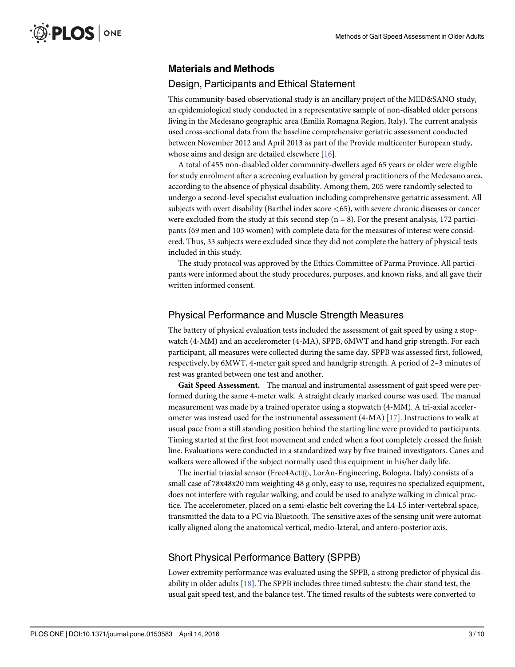## <span id="page-2-0"></span>Materials and Methods

#### Design, Participants and Ethical Statement

This community-based observational study is an ancillary project of the MED&SANO study, an epidemiological study conducted in a representative sample of non-disabled older persons living in the Medesano geographic area (Emilia Romagna Region, Italy). The current analysis used cross-sectional data from the baseline comprehensive geriatric assessment conducted between November 2012 and April 2013 as part of the Provide multicenter European study, whose aims and design are detailed elsewhere [\[16\]](#page-8-0).

A total of 455 non-disabled older community-dwellers aged 65 years or older were eligible for study enrolment after a screening evaluation by general practitioners of the Medesano area, according to the absence of physical disability. Among them, 205 were randomly selected to undergo a second-level specialist evaluation including comprehensive geriatric assessment. All subjects with overt disability (Barthel index score <65), with severe chronic diseases or cancer were excluded from the study at this second step  $(n = 8)$ . For the present analysis, 172 participants (69 men and 103 women) with complete data for the measures of interest were considered. Thus, 33 subjects were excluded since they did not complete the battery of physical tests included in this study.

The study protocol was approved by the Ethics Committee of Parma Province. All participants were informed about the study procedures, purposes, and known risks, and all gave their written informed consent.

# Physical Performance and Muscle Strength Measures

The battery of physical evaluation tests included the assessment of gait speed by using a stopwatch (4-MM) and an accelerometer (4-MA), SPPB, 6MWT and hand grip strength. For each participant, all measures were collected during the same day. SPPB was assessed first, followed, respectively, by 6MWT, 4-meter gait speed and handgrip strength. A period of 2–3 minutes of rest was granted between one test and another.

Gait Speed Assessment. The manual and instrumental assessment of gait speed were performed during the same 4-meter walk. A straight clearly marked course was used. The manual measurement was made by a trained operator using a stopwatch (4-MM). A tri-axial accelerometer was instead used for the instrumental assessment (4-MA) [\[17\]](#page-8-0). Instructions to walk at usual pace from a still standing position behind the starting line were provided to participants. Timing started at the first foot movement and ended when a foot completely crossed the finish line. Evaluations were conducted in a standardized way by five trained investigators. Canes and walkers were allowed if the subject normally used this equipment in his/her daily life.

The inertial triaxial sensor (Free $4$ Act $(\overline{R})$ , LorAn-Engineering, Bologna, Italy) consists of a small case of 78x48x20 mm weighting 48 g only, easy to use, requires no specialized equipment, does not interfere with regular walking, and could be used to analyze walking in clinical practice. The accelerometer, placed on a semi-elastic belt covering the L4-L5 inter-vertebral space, transmitted the data to a PC via Bluetooth. The sensitive axes of the sensing unit were automatically aligned along the anatomical vertical, medio-lateral, and antero-posterior axis.

## Short Physical Performance Battery (SPPB)

Lower extremity performance was evaluated using the SPPB, a strong predictor of physical disability in older adults [\[18](#page-8-0)]. The SPPB includes three timed subtests: the chair stand test, the usual gait speed test, and the balance test. The timed results of the subtests were converted to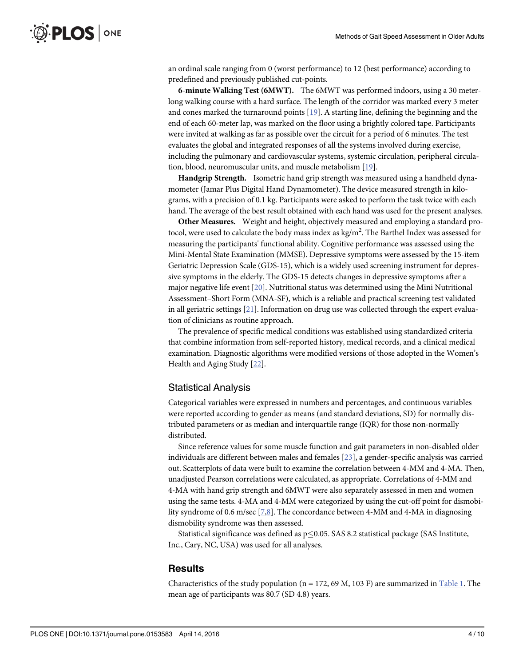<span id="page-3-0"></span>an ordinal scale ranging from 0 (worst performance) to 12 (best performance) according to predefined and previously published cut-points.

6-minute Walking Test (6MWT). The 6MWT was performed indoors, using a 30 meterlong walking course with a hard surface. The length of the corridor was marked every 3 meter and cones marked the turnaround points [\[19\]](#page-9-0). A starting line, defining the beginning and the end of each 60-meter lap, was marked on the floor using a brightly colored tape. Participants were invited at walking as far as possible over the circuit for a period of 6 minutes. The test evaluates the global and integrated responses of all the systems involved during exercise, including the pulmonary and cardiovascular systems, systemic circulation, peripheral circulation, blood, neuromuscular units, and muscle metabolism [[19\]](#page-9-0).

Handgrip Strength. Isometric hand grip strength was measured using a handheld dynamometer (Jamar Plus Digital Hand Dynamometer). The device measured strength in kilograms, with a precision of 0.1 kg. Participants were asked to perform the task twice with each hand. The average of the best result obtained with each hand was used for the present analyses.

Other Measures. Weight and height, objectively measured and employing a standard protocol, were used to calculate the body mass index as kg/m<sup>2</sup>. The Barthel Index was assessed for measuring the participants' functional ability. Cognitive performance was assessed using the Mini-Mental State Examination (MMSE). Depressive symptoms were assessed by the 15-item Geriatric Depression Scale (GDS-15), which is a widely used screening instrument for depressive symptoms in the elderly. The GDS-15 detects changes in depressive symptoms after a major negative life event [\[20](#page-9-0)]. Nutritional status was determined using the Mini Nutritional Assessment–Short Form (MNA-SF), which is a reliable and practical screening test validated in all geriatric settings [[21](#page-9-0)]. Information on drug use was collected through the expert evaluation of clinicians as routine approach.

The prevalence of specific medical conditions was established using standardized criteria that combine information from self-reported history, medical records, and a clinical medical examination. Diagnostic algorithms were modified versions of those adopted in the Women's Health and Aging Study [\[22\]](#page-9-0).

#### Statistical Analysis

Categorical variables were expressed in numbers and percentages, and continuous variables were reported according to gender as means (and standard deviations, SD) for normally distributed parameters or as median and interquartile range (IQR) for those non-normally distributed.

Since reference values for some muscle function and gait parameters in non-disabled older individuals are different between males and females  $[23]$  $[23]$  $[23]$ , a gender-specific analysis was carried out. Scatterplots of data were built to examine the correlation between 4-MM and 4-MA. Then, unadjusted Pearson correlations were calculated, as appropriate. Correlations of 4-MM and 4-MA with hand grip strength and 6MWT were also separately assessed in men and women using the same tests. 4-MA and 4-MM were categorized by using the cut-off point for dismobility syndrome of 0.6 m/sec  $[2,8]$ . The concordance between 4-MM and 4-MA in diagnosing dismobility syndrome was then assessed.

Statistical significance was defined as  $p \le 0.05$ . SAS 8.2 statistical package (SAS Institute, Inc., Cary, NC, USA) was used for all analyses.

#### **Results**

Characteristics of the study population ( $n = 172$ , 69 M, 103 F) are summarized in [Table 1](#page-4-0). The mean age of participants was 80.7 (SD 4.8) years.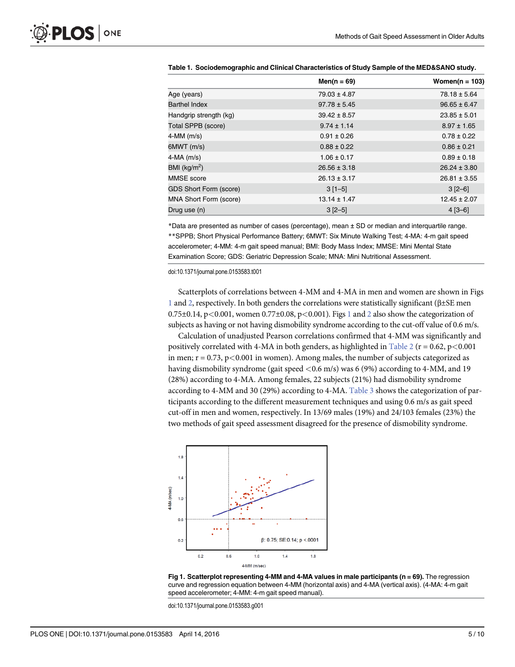|                               | $Men(n = 69)$    | Women( $n = 103$ ) |
|-------------------------------|------------------|--------------------|
| Age (years)                   | $79.03 \pm 4.87$ | $78.18 \pm 5.64$   |
| <b>Barthel Index</b>          | $97.78 \pm 5.45$ | $96.65 \pm 6.47$   |
| Handgrip strength (kg)        | $39.42 \pm 8.57$ | $23.85 \pm 5.01$   |
| Total SPPB (score)            | $9.74 \pm 1.14$  | $8.97 \pm 1.65$    |
| 4-MM (m/s)                    | $0.91 \pm 0.26$  | $0.78 \pm 0.22$    |
| 6MWT(m/s)                     | $0.88 \pm 0.22$  | $0.86 \pm 0.21$    |
| 4-MA (m/s)                    | $1.06 \pm 0.17$  | $0.89 \pm 0.18$    |
| BMI ( $\text{kg/m}^2$ )       | $26.56 \pm 3.18$ | $26.24 \pm 3.80$   |
| MMSE score                    | $26.13 \pm 3.17$ | $26.81 \pm 3.55$   |
| <b>GDS Short Form (score)</b> | $3[1-5]$         | $3 [2 - 6]$        |
| MNA Short Form (score)        | $13.14 \pm 1.47$ | $12.45 \pm 2.07$   |
| Drug use (n)                  | $3[2-5]$         | $4 [3 - 6]$        |

<span id="page-4-0"></span>

| Table 1.  Sociodemographic and Clinical Characteristics of Study Sample of the MED&SANO study. |
|------------------------------------------------------------------------------------------------|
|------------------------------------------------------------------------------------------------|

\*Data are presented as number of cases (percentage), mean ± SD or median and interquartile range. \*\*SPPB; Short Physical Performance Battery; 6MWT: Six Minute Walking Test; 4-MA: 4-m gait speed accelerometer; 4-MM: 4-m gait speed manual; BMI: Body Mass Index; MMSE: Mini Mental State Examination Score; GDS: Geriatric Depression Scale; MNA: Mini Nutritional Assessment.

doi:10.1371/journal.pone.0153583.t001

Scatterplots of correlations between 4-MM and 4-MA in men and women are shown in Figs 1 and [2,](#page-5-0) respectively. In both genders the correlations were statistically significant (β±SE men  $0.75\pm0.14$ , p<0.001, women  $0.77\pm0.08$ , p<0.001). Figs 1 and [2](#page-5-0) also show the categorization of subjects as having or not having dismobility syndrome according to the cut-off value of 0.6 m/s.

Calculation of unadjusted Pearson correlations confirmed that 4-MM was significantly and positively correlated with 4-MA in both genders, as highlighted in [Table 2](#page-5-0) ( $r = 0.62$ , p<0.001 in men;  $r = 0.73$ ,  $p < 0.001$  in women). Among males, the number of subjects categorized as having dismobility syndrome (gait speed  $\langle 0.6 \text{ m/s} \rangle$ ) was 6 (9%) according to 4-MM, and 19 (28%) according to 4-MA. Among females, 22 subjects (21%) had dismobility syndrome according to 4-MM and 30 (29%) according to 4-MA. [Table 3](#page-6-0) shows the categorization of participants according to the different measurement techniques and using 0.6 m/s as gait speed cut-off in men and women, respectively. In 13/69 males (19%) and 24/103 females (23%) the two methods of gait speed assessment disagreed for the presence of dismobility syndrome.





doi:10.1371/journal.pone.0153583.g001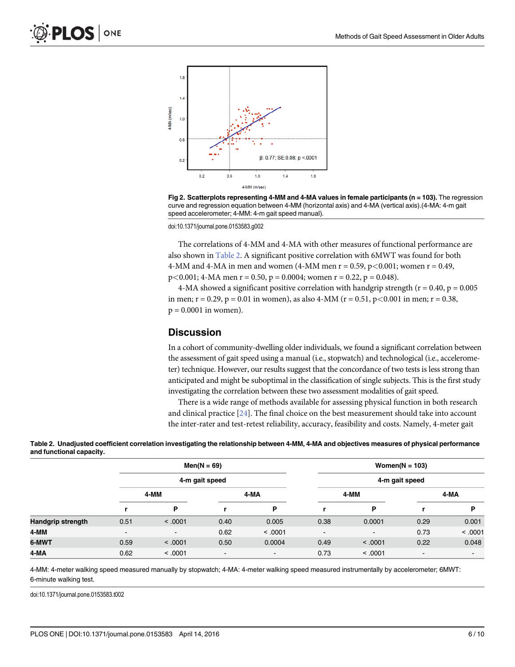<span id="page-5-0"></span>

[Fig 2. S](#page-4-0)catterplots representing 4-MM and 4-MA values in female participants (n = 103). The regression curve and regression equation between 4-MM (horizontal axis) and 4-MA (vertical axis).(4-MA: 4-m gait speed accelerometer; 4-MM: 4-m gait speed manual).

doi:10.1371/journal.pone.0153583.g002

The correlations of 4-MM and 4-MA with other measures of functional performance are also shown in Table 2. A significant positive correlation with 6MWT was found for both 4-MM and 4-MA in men and women (4-MM men  $r = 0.59$ ,  $p < 0.001$ ; women  $r = 0.49$ ,  $p<0.001$ ; 4-MA men r = 0.50, p = 0.0004; women r = 0.22, p = 0.048).

4-MA showed a significant positive correlation with handgrip strength ( $r = 0.40$ ,  $p = 0.005$ ) in men;  $r = 0.29$ ,  $p = 0.01$  in women), as also 4-MM ( $r = 0.51$ ,  $p < 0.001$  in men;  $r = 0.38$ ,  $p = 0.0001$  in women).

#### **Discussion**

In a cohort of community-dwelling older individuals, we found a significant correlation between the assessment of gait speed using a manual (i.e., stopwatch) and technological (i.e., accelerometer) technique. However, our results suggest that the concordance of two tests is less strong than anticipated and might be suboptimal in the classification of single subjects. This is the first study investigating the correlation between these two assessment modalities of gait speed.

There is a wide range of methods available for assessing physical function in both research and clinical practice  $[24]$  $[24]$  $[24]$ . The final choice on the best measurement should take into account the inter-rater and test-retest reliability, accuracy, feasibility and costs. Namely, 4-meter gait

|                   | $Men(N = 69)$<br>4-m gait speed |                |                          |                |                          | Women( $N = 103$ ) |      |                |  |
|-------------------|---------------------------------|----------------|--------------------------|----------------|--------------------------|--------------------|------|----------------|--|
|                   |                                 |                |                          |                | 4-m gait speed           |                    |      |                |  |
|                   | 4-MM                            |                | 4-MA                     |                | 4-MM                     |                    | 4-MA |                |  |
|                   |                                 | P              |                          | P              |                          | P                  |      | Þ              |  |
| Handgrip strength | 0.51                            | < .0001        | 0.40                     | 0.005          | 0.38                     | 0.0001             | 0.29 | 0.001          |  |
| 4-MM              | $\overline{\phantom{0}}$        | $\blacksquare$ | 0.62                     | < 0.001        | $\overline{\phantom{a}}$ | $\blacksquare$     | 0.73 | < .0001        |  |
| 6-MWT             | 0.59                            | < 0.001        | 0.50                     | 0.0004         | 0.49                     | < .0001            | 0.22 | 0.048          |  |
| 4-MA              | 0.62                            | < 0.001        | $\overline{\phantom{a}}$ | $\blacksquare$ | 0.73                     | < 0.001            | $\,$ | $\blacksquare$ |  |

[Table 2.](#page-4-0) Unadjusted coefficient correlation investigating the relationship between 4-MM, 4-MA and objectives measures of physical performance and functional capacity.

4-MM: 4-meter walking speed measured manually by stopwatch; 4-MA: 4-meter walking speed measured instrumentally by accelerometer; 6MWT: 6-minute walking test.

doi:10.1371/journal.pone.0153583.t002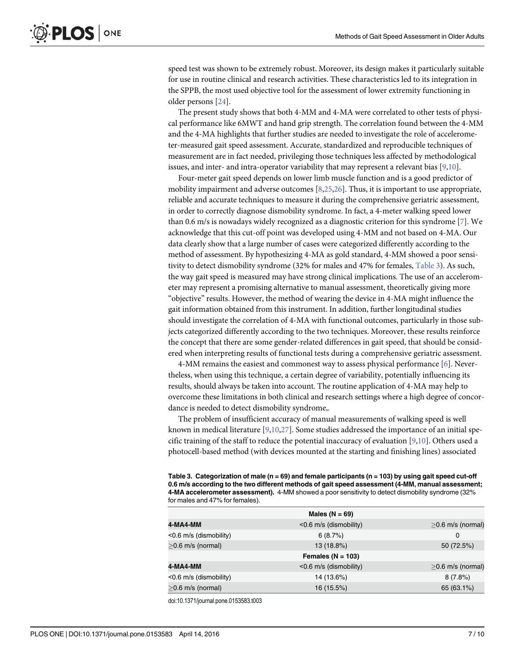<span id="page-6-0"></span>speed test was shown to be extremely robust. Moreover, its design makes it particularly suitable for use in routine clinical and research activities. These characteristics led to its integration in the SPPB, the most used objective tool for the assessment of lower extremity functioning in older persons [\[24\]](#page-9-0).

The present study shows that both 4-MM and 4-MA were correlated to other tests of physical performance like 6MWT and hand grip strength. The correlation found between the 4-MM and the 4-MA highlights that further studies are needed to investigate the role of accelerometer-measured gait speed assessment. Accurate, standardized and reproducible techniques of measurement are in fact needed, privileging those techniques less affected by methodological issues, and inter- and intra-operator variability that may represent a relevant bias  $[9,10]$  $[9,10]$ .

Four-meter gait speed depends on lower limb muscle function and is a good predictor of mobility impairment and adverse outcomes  $[8,25,26]$  $[8,25,26]$ . Thus, it is important to use appropriate, reliable and accurate techniques to measure it during the comprehensive geriatric assessment, in order to correctly diagnose dismobility syndrome. In fact, a 4-meter walking speed lower than 0.6 m/s is nowadays widely recognized as a diagnostic criterion for this syndrome  $[7]$  $[7]$ . We acknowledge that this cut-off point was developed using 4-MM and not based on 4-MA. Our data clearly show that a large number of cases were categorized differently according to the method of assessment. By hypothesizing 4-MA as gold standard, 4-MM showed a poor sensitivity to detect dismobility syndrome (32% for males and 47% for females, Table 3). As such, the way gait speed is measured may have strong clinical implications. The use of an accelerometer may represent a promising alternative to manual assessment, theoretically giving more "objective" results. However, the method of wearing the device in 4-MA might influence the gait information obtained from this instrument. In addition, further longitudinal studies should investigate the correlation of 4-MA with functional outcomes, particularly in those subjects categorized differently according to the two techniques. Moreover, these results reinforce the concept that there are some gender-related differences in gait speed, that should be considered when interpreting results of functional tests during a comprehensive geriatric assessment.

4-MM remains the easiest and commonest way to assess physical performance [[6\]](#page-8-0). Nevertheless, when using this technique, a certain degree of variability, potentially influencing its results, should always be taken into account. The routine application of 4-MA may help to overcome these limitations in both clinical and research settings where a high degree of concordance is needed to detect dismobility syndrome,.

The problem of insufficient accuracy of manual measurements of walking speed is well known in medical literature  $[9,10,27]$  $[9,10,27]$ . Some studies addressed the importance of an initial specific training of the staff to reduce the potential inaccuracy of evaluation  $[9,10]$  $[9,10]$  $[9,10]$ . Others used a photocell-based method (with devices mounted at the starting and finishing lines) associated

[Table 3.](#page-4-0) Categorization of male (n = 69) and female participants (n = 103) by using gait speed cut-off 0.6 m/s according to the two different methods of gait speed assessment (4-MM, manual assessment; 4-MA accelerometer assessment). 4-MM showed a poor sensitivity to detect dismobility syndrome (32% for males and 47% for females).

|                        | Males ( $N = 69$ )     |                     |
|------------------------|------------------------|---------------------|
| 4-MA4-MM               | <0.6 m/s (dismobility) | $>0.6$ m/s (normal) |
| <0.6 m/s (dismobility) | 6(8.7%)                | 0                   |
| $>0.6$ m/s (normal)    | 13 (18.8%)             | 50 (72.5%)          |
|                        | Females ( $N = 103$ )  |                     |
| 4-MA4-MM               | <0.6 m/s (dismobility) | $>0.6$ m/s (normal) |
| <0.6 m/s (dismobility) | 14 (13.6%)             | 8(7.8%)             |
| $>0.6$ m/s (normal)    | 16 (15.5%)             | 65 (63.1%)          |

doi:10.1371/journal.pone.0153583.t003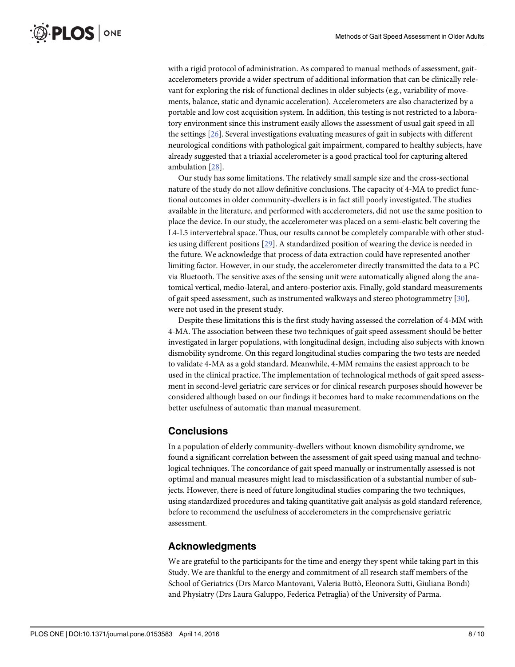<span id="page-7-0"></span>with a rigid protocol of administration. As compared to manual methods of assessment, gaitaccelerometers provide a wider spectrum of additional information that can be clinically relevant for exploring the risk of functional declines in older subjects (e.g., variability of movements, balance, static and dynamic acceleration). Accelerometers are also characterized by a portable and low cost acquisition system. In addition, this testing is not restricted to a laboratory environment since this instrument easily allows the assessment of usual gait speed in all the settings [\[26](#page-9-0)]. Several investigations evaluating measures of gait in subjects with different neurological conditions with pathological gait impairment, compared to healthy subjects, have already suggested that a triaxial accelerometer is a good practical tool for capturing altered ambulation [\[28\]](#page-9-0).

Our study has some limitations. The relatively small sample size and the cross-sectional nature of the study do not allow definitive conclusions. The capacity of 4-MA to predict functional outcomes in older community-dwellers is in fact still poorly investigated. The studies available in the literature, and performed with accelerometers, did not use the same position to place the device. In our study, the accelerometer was placed on a semi-elastic belt covering the L4-L5 intervertebral space. Thus, our results cannot be completely comparable with other studies using different positions [\[29](#page-9-0)]. A standardized position of wearing the device is needed in the future. We acknowledge that process of data extraction could have represented another limiting factor. However, in our study, the accelerometer directly transmitted the data to a PC via Bluetooth. The sensitive axes of the sensing unit were automatically aligned along the anatomical vertical, medio-lateral, and antero-posterior axis. Finally, gold standard measurements of gait speed assessment, such as instrumented walkways and stereo photogrammetry [\[30\]](#page-9-0), were not used in the present study.

Despite these limitations this is the first study having assessed the correlation of 4-MM with 4-MA. The association between these two techniques of gait speed assessment should be better investigated in larger populations, with longitudinal design, including also subjects with known dismobility syndrome. On this regard longitudinal studies comparing the two tests are needed to validate 4-MA as a gold standard. Meanwhile, 4-MM remains the easiest approach to be used in the clinical practice. The implementation of technological methods of gait speed assessment in second-level geriatric care services or for clinical research purposes should however be considered although based on our findings it becomes hard to make recommendations on the better usefulness of automatic than manual measurement.

#### **Conclusions**

In a population of elderly community-dwellers without known dismobility syndrome, we found a significant correlation between the assessment of gait speed using manual and technological techniques. The concordance of gait speed manually or instrumentally assessed is not optimal and manual measures might lead to misclassification of a substantial number of subjects. However, there is need of future longitudinal studies comparing the two techniques, using standardized procedures and taking quantitative gait analysis as gold standard reference, before to recommend the usefulness of accelerometers in the comprehensive geriatric assessment.

#### Acknowledgments

We are grateful to the participants for the time and energy they spent while taking part in this Study. We are thankful to the energy and commitment of all research staff members of the School of Geriatrics (Drs Marco Mantovani, Valeria Buttò, Eleonora Sutti, Giuliana Bondi) and Physiatry (Drs Laura Galuppo, Federica Petraglia) of the University of Parma.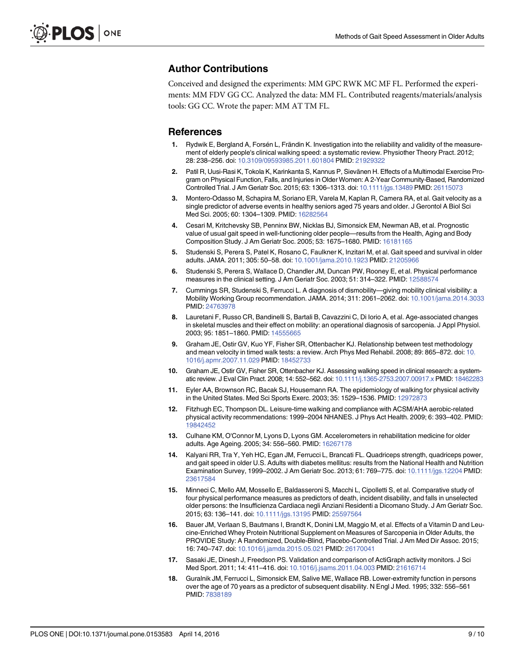# <span id="page-8-0"></span>Author Contributions

Conceived and designed the experiments: MM GPC RWK MC MF FL. Performed the experiments: MM FDV GG CC. Analyzed the data: MM FL. Contributed reagents/materials/analysis tools: GG CC. Wrote the paper: MM AT TM FL.

#### References

- [1.](#page-1-0) Rydwik E, Bergland A, Forsén L, Frändin K. Investigation into the reliability and validity of the measurement of elderly people's clinical walking speed: a systematic review. Physiother Theory Pract. 2012; 28: 238–256. doi: [10.3109/09593985.2011.601804](http://dx.doi.org/10.3109/09593985.2011.601804) PMID: [21929322](http://www.ncbi.nlm.nih.gov/pubmed/21929322)
- [2.](#page-1-0) Patil R, Uusi-Rasi K, Tokola K, Karinkanta S, Kannus P, Sievänen H. Effects of a Multimodal Exercise Program on Physical Function, Falls, and Injuries in Older Women: A 2-Year Community-Based, Randomized Controlled Trial. J Am Geriatr Soc. 2015; 63: 1306–1313. doi: [10.1111/jgs.13489](http://dx.doi.org/10.1111/jgs.13489) PMID: [26115073](http://www.ncbi.nlm.nih.gov/pubmed/26115073)
- [3.](#page-1-0) Montero-Odasso M, Schapira M, Soriano ER, Varela M, Kaplan R, Camera RA, et al. Gait velocity as a single predictor of adverse events in healthy seniors aged 75 years and older. J Gerontol A Biol Sci Med Sci. 2005; 60: 1304–1309. PMID: [16282564](http://www.ncbi.nlm.nih.gov/pubmed/16282564)
- [4.](#page-1-0) Cesari M, Kritchevsky SB, Penninx BW, Nicklas BJ, Simonsick EM, Newman AB, et al. Prognostic value of usual gait speed in well-functioning older people—results from the Health, Aging and Body Composition Study. J Am Geriatr Soc. 2005; 53: 1675–1680. PMID: [16181165](http://www.ncbi.nlm.nih.gov/pubmed/16181165)
- [5.](#page-1-0) Studenski S, Perera S, Patel K, Rosano C, Faulkner K, Inzitari M, et al. Gait speed and survival in older adults. JAMA. 2011; 305: 50–58. doi: [10.1001/jama.2010.1923](http://dx.doi.org/10.1001/jama.2010.1923) PMID: [21205966](http://www.ncbi.nlm.nih.gov/pubmed/21205966)
- [6.](#page-1-0) Studenski S, Perera S, Wallace D, Chandler JM, Duncan PW, Rooney E, et al. Physical performance measures in the clinical setting. J Am Geriatr Soc. 2003; 51: 314–322. PMID: [12588574](http://www.ncbi.nlm.nih.gov/pubmed/12588574)
- [7.](#page-1-0) Cummings SR, Studenski S, Ferrucci L. A diagnosis of dismobility—giving mobility clinical visibility: a Mobility Working Group recommendation. JAMA. 2014; 311: 2061–2062. doi: [10.1001/jama.2014.3033](http://dx.doi.org/10.1001/jama.2014.3033) PMID: [24763978](http://www.ncbi.nlm.nih.gov/pubmed/24763978)
- [8.](#page-1-0) Lauretani F, Russo CR, Bandinelli S, Bartali B, Cavazzini C, Di Iorio A, et al. Age-associated changes in skeletal muscles and their effect on mobility: an operational diagnosis of sarcopenia. J Appl Physiol. 2003; 95: 1851–1860. PMID: [14555665](http://www.ncbi.nlm.nih.gov/pubmed/14555665)
- [9.](#page-1-0) Graham JE, Ostir GV, Kuo YF, Fisher SR, Ottenbacher KJ. Relationship between test methodology and mean velocity in timed walk tests: a review. Arch Phys Med Rehabil. 2008; 89: 865–872. doi: [10.](http://dx.doi.org/10.1016/j.apmr.2007.11.029) [1016/j.apmr.2007.11.029](http://dx.doi.org/10.1016/j.apmr.2007.11.029) PMID: [18452733](http://www.ncbi.nlm.nih.gov/pubmed/18452733)
- [10.](#page-1-0) Graham JE, Ostir GV, Fisher SR, Ottenbacher KJ. Assessing walking speed in clinical research: a system-atic review. J Eval Clin Pract. 2008; 14: 552-562. doi: [10.1111/j.1365-2753.2007.00917.x](http://dx.doi.org/10.1111/j.1365-2753.2007.00917.x) PMID: [18462283](http://www.ncbi.nlm.nih.gov/pubmed/18462283)
- [11.](#page-1-0) Eyler AA, Brownson RC, Bacak SJ, Housemann RA. The epidemiology of walking for physical activity in the United States. Med Sci Sports Exerc. 2003; 35: 1529–1536. PMID: [12972873](http://www.ncbi.nlm.nih.gov/pubmed/12972873)
- [12.](#page-1-0) Fitzhugh EC, Thompson DL. Leisure-time walking and compliance with ACSM/AHA aerobic-related physical activity recommendations: 1999–2004 NHANES. J Phys Act Health. 2009; 6: 393–402. PMID: [19842452](http://www.ncbi.nlm.nih.gov/pubmed/19842452)
- [13.](#page-1-0) Culhane KM, O'Connor M, Lyons D, Lyons GM. Accelerometers in rehabilitation medicine for older adults. Age Ageing. 2005; 34: 556–560. PMID: [16267178](http://www.ncbi.nlm.nih.gov/pubmed/16267178)
- [14.](#page-1-0) Kalyani RR, Tra Y, Yeh HC, Egan JM, Ferrucci L, Brancati FL. Quadriceps strength, quadriceps power, and gait speed in older U.S. Adults with diabetes mellitus: results from the National Health and Nutrition Examination Survey, 1999–2002. J Am Geriatr Soc. 2013; 61: 769–775. doi: [10.1111/jgs.12204](http://dx.doi.org/10.1111/jgs.12204) PMID: [23617584](http://www.ncbi.nlm.nih.gov/pubmed/23617584)
- [15.](#page-1-0) Minneci C, Mello AM, Mossello E, Baldasseroni S, Macchi L, Cipolletti S, et al. Comparative study of four physical performance measures as predictors of death, incident disability, and falls in unselected older persons: the Insufficienza Cardiaca negli Anziani Residenti a Dicomano Study. J Am Geriatr Soc. 2015; 63: 136–141. doi: [10.1111/jgs.13195](http://dx.doi.org/10.1111/jgs.13195) PMID: [25597564](http://www.ncbi.nlm.nih.gov/pubmed/25597564)
- [16.](#page-2-0) Bauer JM, Verlaan S, Bautmans I, Brandt K, Donini LM, Maggio M, et al. Effects of a Vitamin D and Leucine-Enriched Whey Protein Nutritional Supplement on Measures of Sarcopenia in Older Adults, the PROVIDE Study: A Randomized, Double-Blind, Placebo-Controlled Trial. J Am Med Dir Assoc. 2015; 16: 740–747. doi: [10.1016/j.jamda.2015.05.021](http://dx.doi.org/10.1016/j.jamda.2015.05.021) PMID: [26170041](http://www.ncbi.nlm.nih.gov/pubmed/26170041)
- [17.](#page-2-0) Sasaki JE, Dinesh J, Freedson PS. Validation and comparison of ActiGraph activity monitors. J Sci Med Sport. 2011; 14: 411-416. doi: [10.1016/j.jsams.2011.04.003](http://dx.doi.org/10.1016/j.jsams.2011.04.003) PMID: [21616714](http://www.ncbi.nlm.nih.gov/pubmed/21616714)
- [18.](#page-2-0) Guralnik JM, Ferrucci L, Simonsick EM, Salive ME, Wallace RB. Lower-extremity function in persons over the age of 70 years as a predictor of subsequent disability. N Engl J Med. 1995; 332: 556–561 PMID: [7838189](http://www.ncbi.nlm.nih.gov/pubmed/7838189)